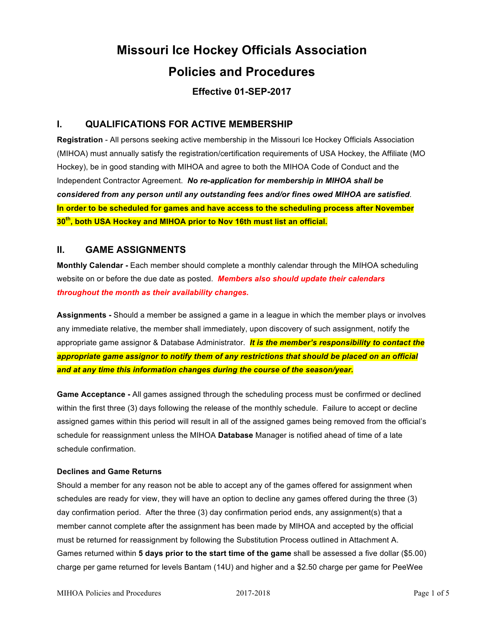# **Missouri Ice Hockey Officials Association Policies and Procedures**

## **Effective 01-SEP-2017**

#### **I. QUALIFICATIONS FOR ACTIVE MEMBERSHIP**

**Registration** - All persons seeking active membership in the Missouri Ice Hockey Officials Association (MIHOA) must annually satisfy the registration/certification requirements of USA Hockey, the Affiliate (MO Hockey), be in good standing with MIHOA and agree to both the MIHOA Code of Conduct and the Independent Contractor Agreement. *No re-application for membership in MIHOA shall be considered from any person until any outstanding fees and/or fines owed MIHOA are satisfied*. **In order to be scheduled for games and have access to the scheduling process after November 30th, both USA Hockey and MIHOA prior to Nov 16th must list an official.**

#### **II. GAME ASSIGNMENTS**

**Monthly Calendar -** Each member should complete a monthly calendar through the MIHOA scheduling website on or before the due date as posted. *Members also should update their calendars throughout the month as their availability changes.*

**Assignments -** Should a member be assigned a game in a league in which the member plays or involves any immediate relative, the member shall immediately, upon discovery of such assignment, notify the appropriate game assignor & Database Administrator. *It is the member's responsibility to contact the appropriate game assignor to notify them of any restrictions that should be placed on an official and at any time this information changes during the course of the season/year.*

**Game Acceptance -** All games assigned through the scheduling process must be confirmed or declined within the first three (3) days following the release of the monthly schedule. Failure to accept or decline assigned games within this period will result in all of the assigned games being removed from the official's schedule for reassignment unless the MIHOA **Database** Manager is notified ahead of time of a late schedule confirmation.

#### **Declines and Game Returns**

Should a member for any reason not be able to accept any of the games offered for assignment when schedules are ready for view, they will have an option to decline any games offered during the three (3) day confirmation period. After the three (3) day confirmation period ends, any assignment(s) that a member cannot complete after the assignment has been made by MIHOA and accepted by the official must be returned for reassignment by following the Substitution Process outlined in Attachment A. Games returned within **5 days prior to the start time of the game** shall be assessed a five dollar (\$5.00) charge per game returned for levels Bantam (14U) and higher and a \$2.50 charge per game for PeeWee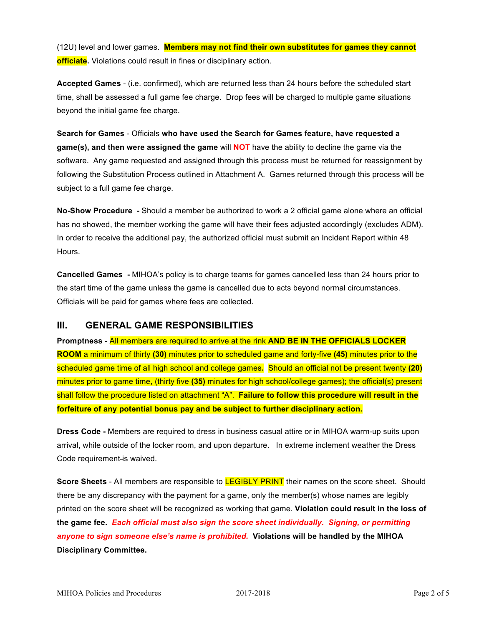(12U) level and lower games. **Members may not find their own substitutes for games they cannot officiate.** Violations could result in fines or disciplinary action.

**Accepted Games** - (i.e. confirmed), which are returned less than 24 hours before the scheduled start time, shall be assessed a full game fee charge. Drop fees will be charged to multiple game situations beyond the initial game fee charge.

**Search for Games** - Officials **who have used the Search for Games feature, have requested a game(s), and then were assigned the game** will **NOT** have the ability to decline the game via the software. Any game requested and assigned through this process must be returned for reassignment by following the Substitution Process outlined in Attachment A. Games returned through this process will be subject to a full game fee charge.

**No-Show Procedure -** Should a member be authorized to work a 2 official game alone where an official has no showed, the member working the game will have their fees adjusted accordingly (excludes ADM). In order to receive the additional pay, the authorized official must submit an Incident Report within 48 Hours.

**Cancelled Games -** MIHOA's policy is to charge teams for games cancelled less than 24 hours prior to the start time of the game unless the game is cancelled due to acts beyond normal circumstances. Officials will be paid for games where fees are collected.

#### **III. GENERAL GAME RESPONSIBILITIES**

**Promptness -** All members are required to arrive at the rink **AND BE IN THE OFFICIALS LOCKER ROOM** a minimum of thirty **(30)** minutes prior to scheduled game and forty-five **(45)** minutes prior to the scheduled game time of all high school and college games**.** Should an official not be present twenty **(20)** minutes prior to game time, (thirty five **(35)** minutes for high school/college games); the official(s) present shall follow the procedure listed on attachment "A". **Failure to follow this procedure will result in the forfeiture of any potential bonus pay and be subject to further disciplinary action.**

**Dress Code -** Members are required to dress in business casual attire or in MIHOA warm-up suits upon arrival, while outside of the locker room, and upon departure. In extreme inclement weather the Dress Code requirement-is waived.

**Score Sheets** - All members are responsible to **LEGIBLY PRINT** their names on the score sheet. Should there be any discrepancy with the payment for a game, only the member(s) whose names are legibly printed on the score sheet will be recognized as working that game. **Violation could result in the loss of the game fee.** *Each official must also sign the score sheet individually. Signing, or permitting anyone to sign someone else's name is prohibited.* **Violations will be handled by the MIHOA Disciplinary Committee.**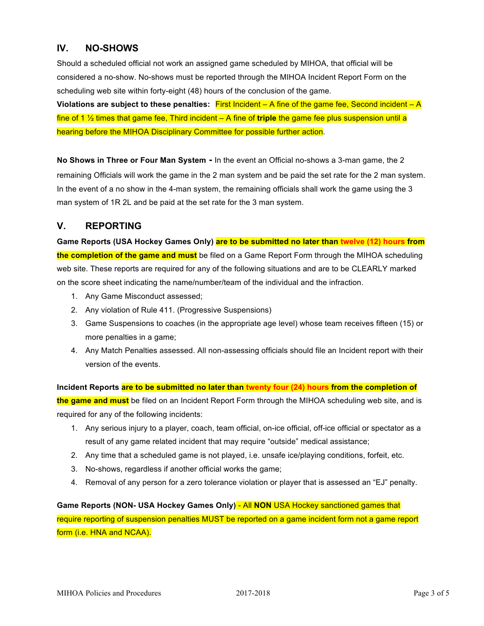#### **IV. NO-SHOWS**

Should a scheduled official not work an assigned game scheduled by MIHOA, that official will be considered a no-show. No-shows must be reported through the MIHOA Incident Report Form on the scheduling web site within forty-eight (48) hours of the conclusion of the game.

**Violations are subject to these penalties:** First Incident – A fine of the game fee, Second incident – A fine of 1 ½ times that game fee, Third incident – A fine of **triple** the game fee plus suspension until a hearing before the MIHOA Disciplinary Committee for possible further action.

**No Shows in Three or Four Man System -** In the event an Official no-shows a 3-man game, the 2 remaining Officials will work the game in the 2 man system and be paid the set rate for the 2 man system. In the event of a no show in the 4-man system, the remaining officials shall work the game using the 3 man system of 1R 2L and be paid at the set rate for the 3 man system.

## **V. REPORTING**

**Game Reports (USA Hockey Games Only) are to be submitted no later than twelve (12) hours from the completion of the game and must** be filed on a Game Report Form through the MIHOA scheduling web site. These reports are required for any of the following situations and are to be CLEARLY marked on the score sheet indicating the name/number/team of the individual and the infraction.

- 1. Any Game Misconduct assessed;
- 2. Any violation of Rule 411. (Progressive Suspensions)
- 3. Game Suspensions to coaches (in the appropriate age level) whose team receives fifteen (15) or more penalties in a game;
- 4. Any Match Penalties assessed. All non-assessing officials should file an Incident report with their version of the events.

**Incident Reports are to be submitted no later than twenty four (24) hours from the completion of the game and must** be filed on an Incident Report Form through the MIHOA scheduling web site, and is required for any of the following incidents:

- 1. Any serious injury to a player, coach, team official, on-ice official, off-ice official or spectator as a result of any game related incident that may require "outside" medical assistance;
- 2. Any time that a scheduled game is not played, i.e. unsafe ice/playing conditions, forfeit, etc.
- 3. No-shows, regardless if another official works the game;
- 4. Removal of any person for a zero tolerance violation or player that is assessed an "EJ" penalty.

**Game Reports (NON- USA Hockey Games Only)** - All **NON** USA Hockey sanctioned games that require reporting of suspension penalties MUST be reported on a game incident form not a game report form (i.e. HNA and NCAA).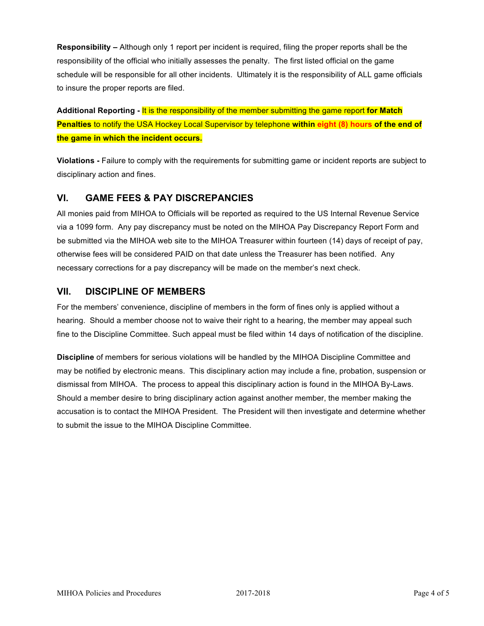**Responsibility –** Although only 1 report per incident is required, filing the proper reports shall be the responsibility of the official who initially assesses the penalty. The first listed official on the game schedule will be responsible for all other incidents. Ultimately it is the responsibility of ALL game officials to insure the proper reports are filed.

**Additional Reporting -** It is the responsibility of the member submitting the game report **for Match Penalties** to notify the USA Hockey Local Supervisor by telephone **within eight (8) hours of the end of the game in which the incident occurs.**

**Violations -** Failure to comply with the requirements for submitting game or incident reports are subject to disciplinary action and fines.

## **VI. GAME FEES & PAY DISCREPANCIES**

All monies paid from MIHOA to Officials will be reported as required to the US Internal Revenue Service via a 1099 form. Any pay discrepancy must be noted on the MIHOA Pay Discrepancy Report Form and be submitted via the MIHOA web site to the MIHOA Treasurer within fourteen (14) days of receipt of pay, otherwise fees will be considered PAID on that date unless the Treasurer has been notified. Any necessary corrections for a pay discrepancy will be made on the member's next check.

## **VII. DISCIPLINE OF MEMBERS**

For the members' convenience, discipline of members in the form of fines only is applied without a hearing. Should a member choose not to waive their right to a hearing, the member may appeal such fine to the Discipline Committee. Such appeal must be filed within 14 days of notification of the discipline.

**Discipline** of members for serious violations will be handled by the MIHOA Discipline Committee and may be notified by electronic means. This disciplinary action may include a fine, probation, suspension or dismissal from MIHOA. The process to appeal this disciplinary action is found in the MIHOA By-Laws. Should a member desire to bring disciplinary action against another member, the member making the accusation is to contact the MIHOA President. The President will then investigate and determine whether to submit the issue to the MIHOA Discipline Committee.